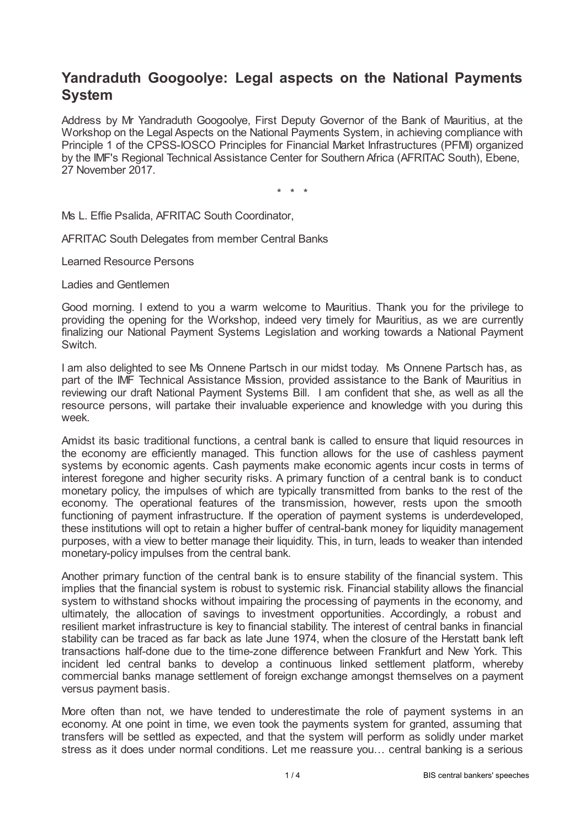## **Yandraduth Googoolye: Legal aspects on the National Payments System**

Address by Mr Yandraduth Googoolye, First Deputy Governor of the Bank of Mauritius, at the Workshop on the Legal Aspects on the National Payments System, in achieving compliance with Principle 1 of the CPSS-IOSCO Principles for Financial Market Infrastructures (PFMI) organized by the IMF's Regional Technical Assistance Center for Southern Africa (AFRITAC South), Ebene, 27 November 2017.

\* \* \*

Ms L. Effie Psalida, AFRITAC South Coordinator,

AFRITAC South Delegates from member Central Banks

Learned Resource Persons

Ladies and Gentlemen

Good morning. I extend to you a warm welcome to Mauritius. Thank you for the privilege to providing the opening for the Workshop, indeed very timely for Mauritius, as we are currently finalizing our National Payment Systems Legislation and working towards a National Payment Switch.

I am also delighted to see Ms Onnene Partsch in our midst today. Ms Onnene Partsch has, as part of the IMF Technical Assistance Mission, provided assistance to the Bank of Mauritius in reviewing our draft National Payment Systems Bill. I am confident that she, as well as all the resource persons, will partake their invaluable experience and knowledge with you during this week.

Amidst its basic traditional functions, a central bank is called to ensure that liquid resources in the economy are efficiently managed. This function allows for the use of cashless payment systems by economic agents. Cash payments make economic agents incur costs in terms of interest foregone and higher security risks. A primary function of a central bank is to conduct monetary policy, the impulses of which are typically transmitted from banks to the rest of the economy. The operational features of the transmission, however, rests upon the smooth functioning of payment infrastructure. If the operation of payment systems is underdeveloped, these institutions will opt to retain a higher buffer of central-bank money for liquidity management purposes, with a view to better manage their liquidity. This, in turn, leads to weaker than intended monetary-policy impulses from the central bank.

Another primary function of the central bank is to ensure stability of the financial system. This implies that the financial system is robust to systemic risk. Financial stability allows the financial system to withstand shocks without impairing the processing of payments in the economy, and ultimately, the allocation of savings to investment opportunities. Accordingly, a robust and resilient market infrastructure is key to financial stability. The interest of central banks in financial stability can be traced as far back as late June 1974, when the closure of the Herstatt bank left transactions half-done due to the time-zone difference between Frankfurt and New York. This incident led central banks to develop a continuous linked settlement platform, whereby commercial banks manage settlement of foreign exchange amongst themselves on a payment versus payment basis.

More often than not, we have tended to underestimate the role of payment systems in an economy. At one point in time, we even took the payments system for granted, assuming that transfers will be settled as expected, and that the system will perform as solidly under market stress as it does under normal conditions. Let me reassure you… central banking is a serious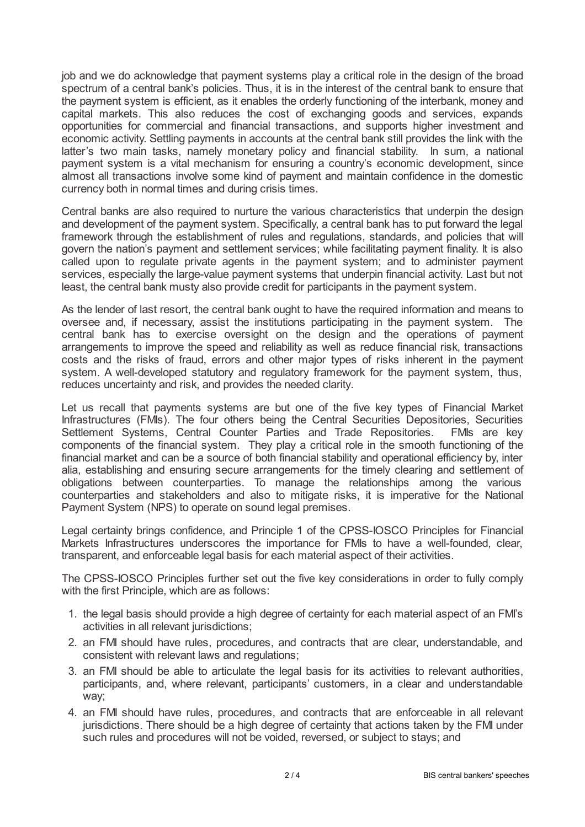job and we do acknowledge that payment systems play a critical role in the design of the broad spectrum of a central bank's policies. Thus, it is in the interest of the central bank to ensure that the payment system is efficient, as it enables the orderly functioning of the interbank, money and capital markets. This also reduces the cost of exchanging goods and services, expands opportunities for commercial and financial transactions, and supports higher investment and economic activity. Settling payments in accounts at the central bank still provides the link with the latter's two main tasks, namely monetary policy and financial stability. In sum, a national payment system is a vital mechanism for ensuring a country's economic development, since almost all transactions involve some kind of payment and maintain confidence in the domestic currency both in normal times and during crisis times.

Central banks are also required to nurture the various characteristics that underpin the design and development of the payment system. Specifically, a central bank has to put forward the legal framework through the establishment of rules and regulations, standards, and policies that will govern the nation's payment and settlement services; while facilitating payment finality. It is also called upon to regulate private agents in the payment system; and to administer payment services, especially the large-value payment systems that underpin financial activity. Last but not least, the central bank musty also provide credit for participants in the payment system.

As the lender of last resort, the central bank ought to have the required information and means to oversee and, if necessary, assist the institutions participating in the payment system. The central bank has to exercise oversight on the design and the operations of payment arrangements to improve the speed and reliability as well as reduce financial risk, transactions costs and the risks of fraud, errors and other major types of risks inherent in the payment system. A well-developed statutory and regulatory framework for the payment system, thus, reduces uncertainty and risk, and provides the needed clarity.

Let us recall that payments systems are but one of the five key types of Financial Market Infrastructures (FMIs). The four others being the Central Securities Depositories, Securities Settlement Systems, Central Counter Parties and Trade Repositories. FMIs are key components of the financial system. They play a critical role in the smooth functioning of the financial market and can be a source of both financial stability and operational efficiency by, inter alia, establishing and ensuring secure arrangements for the timely clearing and settlement of obligations between counterparties. To manage the relationships among the various counterparties and stakeholders and also to mitigate risks, it is imperative for the National Payment System (NPS) to operate on sound legal premises.

Legal certainty brings confidence, and Principle 1 of the CPSS-IOSCO Principles for Financial Markets Infrastructures underscores the importance for FMIs to have a well-founded, clear, transparent, and enforceable legal basis for each material aspect of their activities.

The CPSS-IOSCO Principles further set out the five key considerations in order to fully comply with the first Principle, which are as follows:

- 1. the legal basis should provide a high degree of certainty for each material aspect of an FMI's activities in all relevant jurisdictions;
- 2. an FMI should have rules, procedures, and contracts that are clear, understandable, and consistent with relevant laws and regulations;
- 3. an FMI should be able to articulate the legal basis for its activities to relevant authorities, participants, and, where relevant, participants' customers, in a clear and understandable way;
- 4. an FMI should have rules, procedures, and contracts that are enforceable in all relevant jurisdictions. There should be a high degree of certainty that actions taken by the FMI under such rules and procedures will not be voided, reversed, or subject to stays; and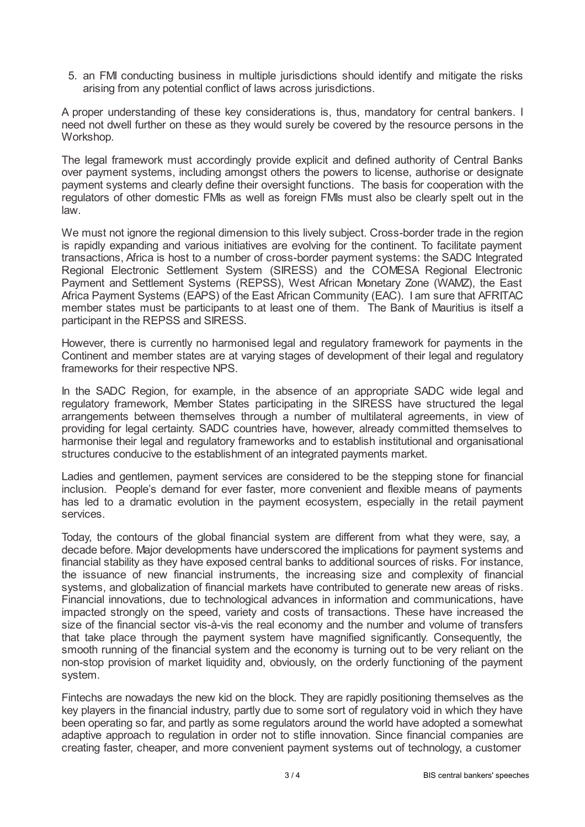5. an FMI conducting business in multiple jurisdictions should identify and mitigate the risks arising from any potential conflict of laws across jurisdictions.

A proper understanding of these key considerations is, thus, mandatory for central bankers. I need not dwell further on these as they would surely be covered by the resource persons in the Workshop.

The legal framework must accordingly provide explicit and defined authority of Central Banks over payment systems, including amongst others the powers to license, authorise or designate payment systems and clearly define their oversight functions. The basis for cooperation with the regulators of other domestic FMIs as well as foreign FMIs must also be clearly spelt out in the law.

We must not ignore the regional dimension to this lively subject. Cross-border trade in the region is rapidly expanding and various initiatives are evolving for the continent. To facilitate payment transactions, Africa is host to a number of cross-border payment systems: the SADC Integrated Regional Electronic Settlement System (SIRESS) and the COMESA Regional Electronic Payment and Settlement Systems (REPSS), West African Monetary Zone (WAMZ), the East Africa Payment Systems (EAPS) of the East African Community (EAC). I am sure that AFRITAC member states must be participants to at least one of them. The Bank of Mauritius is itself a participant in the REPSS and SIRESS.

However, there is currently no harmonised legal and regulatory framework for payments in the Continent and member states are at varying stages of development of their legal and regulatory frameworks for their respective NPS.

In the SADC Region, for example, in the absence of an appropriate SADC wide legal and regulatory framework, Member States participating in the SIRESS have structured the legal arrangements between themselves through a number of multilateral agreements, in view of providing for legal certainty. SADC countries have, however, already committed themselves to harmonise their legal and regulatory frameworks and to establish institutional and organisational structures conducive to the establishment of an integrated payments market.

Ladies and gentlemen, payment services are considered to be the stepping stone for financial inclusion. People's demand for ever faster, more convenient and flexible means of payments has led to a dramatic evolution in the payment ecosystem, especially in the retail payment services.

Today, the contours of the global financial system are different from what they were, say, a decade before. Major developments have underscored the implications for payment systems and financial stability as they have exposed central banks to additional sources of risks. For instance, the issuance of new financial instruments, the increasing size and complexity of financial systems, and globalization of financial markets have contributed to generate new areas of risks. Financial innovations, due to technological advances in information and communications, have impacted strongly on the speed, variety and costs of transactions. These have increased the size of the financial sector vis-à-vis the real economy and the number and volume of transfers that take place through the payment system have magnified significantly. Consequently, the smooth running of the financial system and the economy is turning out to be very reliant on the non-stop provision of market liquidity and, obviously, on the orderly functioning of the payment system.

Fintechs are nowadays the new kid on the block. They are rapidly positioning themselves as the key players in the financial industry, partly due to some sort of regulatory void in which they have been operating so far, and partly as some regulators around the world have adopted a somewhat adaptive approach to regulation in order not to stifle innovation. Since financial companies are creating faster, cheaper, and more convenient payment systems out of technology, a customer